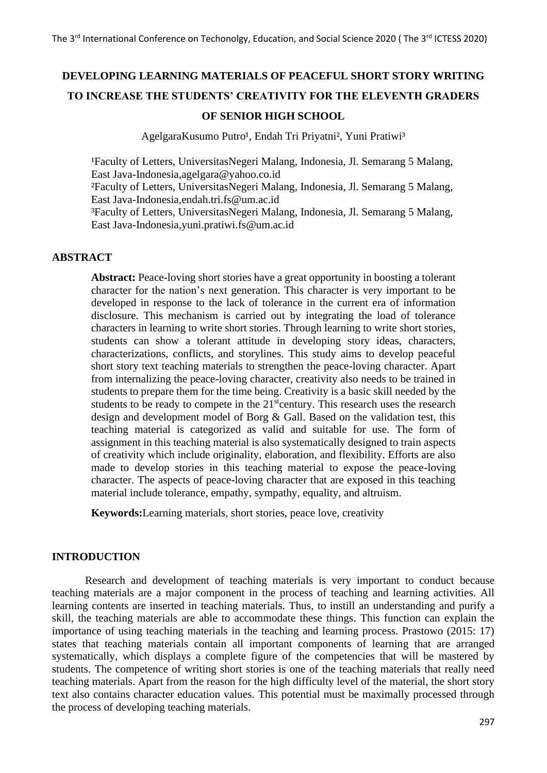# **DEVELOPING LEARNING MATERIALS OF PEACEFUL SHORT STORY WRITING TO INCREASE THE STUDENTS' CREATIVITY FOR THE ELEVENTH GRADERS OF SENIOR HIGH SCHOOL**

AgelgaraKusumo Putro<sup>1</sup>, Endah Tri Priyatni<sup>2</sup>, Yuni Pratiwi<sup>3</sup>

<sup>1</sup>Faculty of Letters, UniversitasNegeri Malang, Indonesia, Jl. Semarang 5 Malang, East Java-Indonesia,agelgara@yahoo.co.id

²Faculty of Letters, UniversitasNegeri Malang, Indonesia, Jl. Semarang 5 Malang, East Java-Indonesia,endah.tri.fs@um.ac.id

³Faculty of Letters, UniversitasNegeri Malang, Indonesia, Jl. Semarang 5 Malang, East Java-Indonesia,yuni.pratiwi.fs@um.ac.id

## **ABSTRACT**

**Abstract:** Peace-loving short stories have a great opportunity in boosting a tolerant character for the nation's next generation. This character is very important to be developed in response to the lack of tolerance in the current era of information disclosure. This mechanism is carried out by integrating the load of tolerance characters in learning to write short stories. Through learning to write short stories, students can show a tolerant attitude in developing story ideas, characters, characterizations, conflicts, and storylines. This study aims to develop peaceful short story text teaching materials to strengthen the peace-loving character. Apart from internalizing the peace-loving character, creativity also needs to be trained in students to prepare them for the time being. Creativity is a basic skill needed by the students to be ready to compete in the  $21<sup>st</sup>$ century. This research uses the research design and development model of Borg & Gall. Based on the validation test, this teaching material is categorized as valid and suitable for use. The form of assignment in this teaching material is also systematically designed to train aspects of creativity which include originality, elaboration, and flexibility. Efforts are also made to develop stories in this teaching material to expose the peace-loving character. The aspects of peace-loving character that are exposed in this teaching material include tolerance, empathy, sympathy, equality, and altruism.

**Keywords:**Learning materials, short stories, peace love, creativity

## **INTRODUCTION**

Research and development of teaching materials is very important to conduct because teaching materials are a major component in the process of teaching and learning activities. All learning contents are inserted in teaching materials. Thus, to instill an understanding and purify a skill, the teaching materials are able to accommodate these things. This function can explain the importance of using teaching materials in the teaching and learning process. Prastowo (2015: 17) states that teaching materials contain all important components of learning that are arranged systematically, which displays a complete figure of the competencies that will be mastered by students. The competence of writing short stories is one of the teaching materials that really need teaching materials. Apart from the reason for the high difficulty level of the material, the short story text also contains character education values. This potential must be maximally processed through the process of developing teaching materials.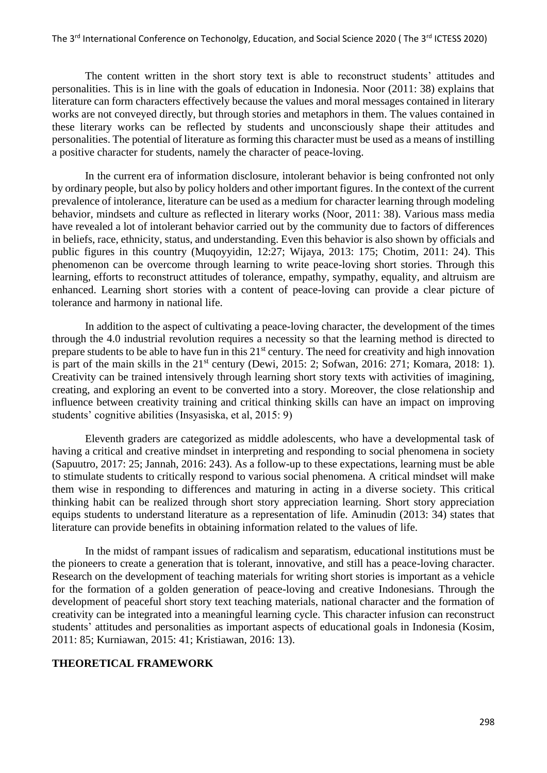The content written in the short story text is able to reconstruct students' attitudes and personalities. This is in line with the goals of education in Indonesia. Noor (2011: 38) explains that literature can form characters effectively because the values and moral messages contained in literary works are not conveyed directly, but through stories and metaphors in them. The values contained in these literary works can be reflected by students and unconsciously shape their attitudes and personalities. The potential of literature as forming this character must be used as a means of instilling a positive character for students, namely the character of peace-loving.

In the current era of information disclosure, intolerant behavior is being confronted not only by ordinary people, but also by policy holders and other important figures. In the context of the current prevalence of intolerance, literature can be used as a medium for character learning through modeling behavior, mindsets and culture as reflected in literary works (Noor, 2011: 38). Various mass media have revealed a lot of intolerant behavior carried out by the community due to factors of differences in beliefs, race, ethnicity, status, and understanding. Even this behavior is also shown by officials and public figures in this country (Muqoyyidin, 12:27; Wijaya, 2013: 175; Chotim, 2011: 24). This phenomenon can be overcome through learning to write peace-loving short stories. Through this learning, efforts to reconstruct attitudes of tolerance, empathy, sympathy, equality, and altruism are enhanced. Learning short stories with a content of peace-loving can provide a clear picture of tolerance and harmony in national life.

In addition to the aspect of cultivating a peace-loving character, the development of the times through the 4.0 industrial revolution requires a necessity so that the learning method is directed to prepare students to be able to have fun in this  $21<sup>st</sup>$  century. The need for creativity and high innovation is part of the main skills in the  $21<sup>st</sup>$  century (Dewi, 2015: 2; Sofwan, 2016: 271; Komara, 2018: 1). Creativity can be trained intensively through learning short story texts with activities of imagining, creating, and exploring an event to be converted into a story. Moreover, the close relationship and influence between creativity training and critical thinking skills can have an impact on improving students' cognitive abilities (Insyasiska, et al, 2015: 9)

Eleventh graders are categorized as middle adolescents, who have a developmental task of having a critical and creative mindset in interpreting and responding to social phenomena in society (Sapuutro, 2017: 25; Jannah, 2016: 243). As a follow-up to these expectations, learning must be able to stimulate students to critically respond to various social phenomena. A critical mindset will make them wise in responding to differences and maturing in acting in a diverse society. This critical thinking habit can be realized through short story appreciation learning. Short story appreciation equips students to understand literature as a representation of life. Aminudin (2013: 34) states that literature can provide benefits in obtaining information related to the values of life.

In the midst of rampant issues of radicalism and separatism, educational institutions must be the pioneers to create a generation that is tolerant, innovative, and still has a peace-loving character. Research on the development of teaching materials for writing short stories is important as a vehicle for the formation of a golden generation of peace-loving and creative Indonesians. Through the development of peaceful short story text teaching materials, national character and the formation of creativity can be integrated into a meaningful learning cycle. This character infusion can reconstruct students' attitudes and personalities as important aspects of educational goals in Indonesia (Kosim, 2011: 85; Kurniawan, 2015: 41; Kristiawan, 2016: 13).

## **THEORETICAL FRAMEWORK**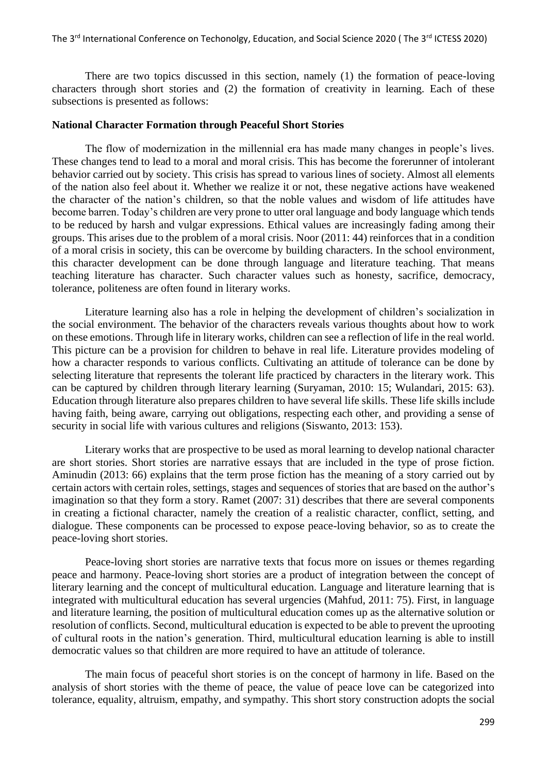There are two topics discussed in this section, namely (1) the formation of peace-loving characters through short stories and (2) the formation of creativity in learning. Each of these subsections is presented as follows:

#### **National Character Formation through Peaceful Short Stories**

The flow of modernization in the millennial era has made many changes in people's lives. These changes tend to lead to a moral and moral crisis. This has become the forerunner of intolerant behavior carried out by society. This crisis has spread to various lines of society. Almost all elements of the nation also feel about it. Whether we realize it or not, these negative actions have weakened the character of the nation's children, so that the noble values and wisdom of life attitudes have become barren. Today's children are very prone to utter oral language and body language which tends to be reduced by harsh and vulgar expressions. Ethical values are increasingly fading among their groups. This arises due to the problem of a moral crisis. Noor (2011: 44) reinforces that in a condition of a moral crisis in society, this can be overcome by building characters. In the school environment, this character development can be done through language and literature teaching. That means teaching literature has character. Such character values such as honesty, sacrifice, democracy, tolerance, politeness are often found in literary works.

Literature learning also has a role in helping the development of children's socialization in the social environment. The behavior of the characters reveals various thoughts about how to work on these emotions. Through life in literary works, children can see a reflection of life in the real world. This picture can be a provision for children to behave in real life. Literature provides modeling of how a character responds to various conflicts. Cultivating an attitude of tolerance can be done by selecting literature that represents the tolerant life practiced by characters in the literary work. This can be captured by children through literary learning (Suryaman, 2010: 15; Wulandari, 2015: 63). Education through literature also prepares children to have several life skills. These life skills include having faith, being aware, carrying out obligations, respecting each other, and providing a sense of security in social life with various cultures and religions (Siswanto, 2013: 153).

Literary works that are prospective to be used as moral learning to develop national character are short stories. Short stories are narrative essays that are included in the type of prose fiction. Aminudin (2013: 66) explains that the term prose fiction has the meaning of a story carried out by certain actors with certain roles, settings, stages and sequences of stories that are based on the author's imagination so that they form a story. Ramet (2007: 31) describes that there are several components in creating a fictional character, namely the creation of a realistic character, conflict, setting, and dialogue. These components can be processed to expose peace-loving behavior, so as to create the peace-loving short stories.

Peace-loving short stories are narrative texts that focus more on issues or themes regarding peace and harmony. Peace-loving short stories are a product of integration between the concept of literary learning and the concept of multicultural education. Language and literature learning that is integrated with multicultural education has several urgencies (Mahfud, 2011: 75). First, in language and literature learning, the position of multicultural education comes up as the alternative solution or resolution of conflicts. Second, multicultural education is expected to be able to prevent the uprooting of cultural roots in the nation's generation. Third, multicultural education learning is able to instill democratic values so that children are more required to have an attitude of tolerance.

The main focus of peaceful short stories is on the concept of harmony in life. Based on the analysis of short stories with the theme of peace, the value of peace love can be categorized into tolerance, equality, altruism, empathy, and sympathy. This short story construction adopts the social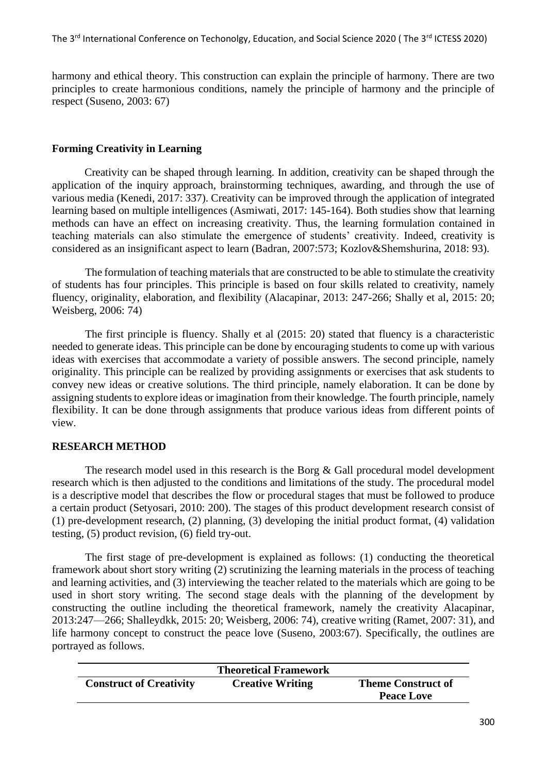harmony and ethical theory. This construction can explain the principle of harmony. There are two principles to create harmonious conditions, namely the principle of harmony and the principle of respect (Suseno, 2003: 67)

#### **Forming Creativity in Learning**

Creativity can be shaped through learning. In addition, creativity can be shaped through the application of the inquiry approach, brainstorming techniques, awarding, and through the use of various media (Kenedi, 2017: 337). Creativity can be improved through the application of integrated learning based on multiple intelligences (Asmiwati, 2017: 145-164). Both studies show that learning methods can have an effect on increasing creativity. Thus, the learning formulation contained in teaching materials can also stimulate the emergence of students' creativity. Indeed, creativity is considered as an insignificant aspect to learn (Badran, 2007:573; Kozlov&Shemshurina, 2018: 93).

The formulation of teaching materials that are constructed to be able to stimulate the creativity of students has four principles. This principle is based on four skills related to creativity, namely fluency, originality, elaboration, and flexibility (Alacapinar, 2013: 247-266; Shally et al, 2015: 20; Weisberg, 2006: 74)

The first principle is fluency. Shally et al (2015: 20) stated that fluency is a characteristic needed to generate ideas. This principle can be done by encouraging students to come up with various ideas with exercises that accommodate a variety of possible answers. The second principle, namely originality. This principle can be realized by providing assignments or exercises that ask students to convey new ideas or creative solutions. The third principle, namely elaboration. It can be done by assigning students to explore ideas or imagination from their knowledge. The fourth principle, namely flexibility. It can be done through assignments that produce various ideas from different points of view.

## **RESEARCH METHOD**

The research model used in this research is the Borg & Gall procedural model development research which is then adjusted to the conditions and limitations of the study. The procedural model is a descriptive model that describes the flow or procedural stages that must be followed to produce a certain product (Setyosari, 2010: 200). The stages of this product development research consist of (1) pre-development research, (2) planning, (3) developing the initial product format, (4) validation testing, (5) product revision, (6) field try-out.

The first stage of pre-development is explained as follows: (1) conducting the theoretical framework about short story writing (2) scrutinizing the learning materials in the process of teaching and learning activities, and (3) interviewing the teacher related to the materials which are going to be used in short story writing. The second stage deals with the planning of the development by constructing the outline including the theoretical framework, namely the creativity Alacapinar, 2013:247—266; Shalleydkk, 2015: 20; Weisberg, 2006: 74), creative writing (Ramet, 2007: 31), and life harmony concept to construct the peace love (Suseno, 2003:67). Specifically, the outlines are portrayed as follows.

|                                | <b>Theoretical Framework</b> |                           |
|--------------------------------|------------------------------|---------------------------|
| <b>Construct of Creativity</b> | <b>Creative Writing</b>      | <b>Theme Construct of</b> |
|                                |                              | <b>Peace Love</b>         |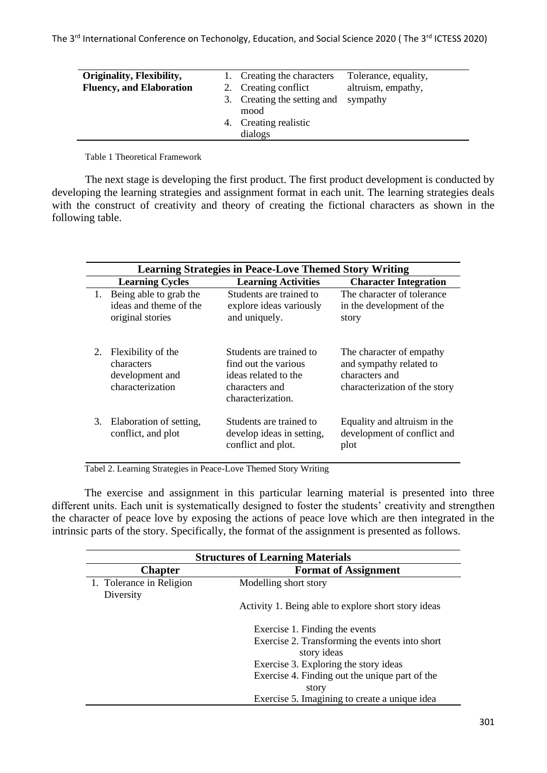| Originality, Flexibility,<br><b>Fluency, and Elaboration</b> | 1. Creating the characters<br>2. Creating conflict<br>3. Creating the setting and | Tolerance, equality,<br>altruism, empathy,<br>sympathy |
|--------------------------------------------------------------|-----------------------------------------------------------------------------------|--------------------------------------------------------|
|                                                              | mood                                                                              |                                                        |
|                                                              | 4. Creating realistic<br>dialogs                                                  |                                                        |

Table 1 Theoretical Framework

The next stage is developing the first product. The first product development is conducted by developing the learning strategies and assignment format in each unit. The learning strategies deals with the construct of creativity and theory of creating the fictional characters as shown in the following table.

|    | <b>Learning Strategies in Peace-Love Themed Story Writing</b>           |                                                                                                                |                                                                                                        |
|----|-------------------------------------------------------------------------|----------------------------------------------------------------------------------------------------------------|--------------------------------------------------------------------------------------------------------|
|    | <b>Learning Cycles</b>                                                  | <b>Learning Activities</b>                                                                                     | <b>Character Integration</b>                                                                           |
| 1. | Being able to grab the<br>ideas and theme of the<br>original stories    | Students are trained to<br>explore ideas variously<br>and uniquely.                                            | The character of tolerance<br>in the development of the<br>story                                       |
| 2. | Flexibility of the<br>characters<br>development and<br>characterization | Students are trained to<br>find out the various<br>ideas related to the<br>characters and<br>characterization. | The character of empathy<br>and sympathy related to<br>characters and<br>characterization of the story |
| 3. | Elaboration of setting,<br>conflict, and plot                           | Students are trained to<br>develop ideas in setting,<br>conflict and plot.                                     | Equality and altruism in the<br>development of conflict and<br>plot                                    |

Tabel 2. Learning Strategies in Peace-Love Themed Story Writing

The exercise and assignment in this particular learning material is presented into three different units. Each unit is systematically designed to foster the students' creativity and strengthen the character of peace love by exposing the actions of peace love which are then integrated in the intrinsic parts of the story. Specifically, the format of the assignment is presented as follows.

| <b>Structures of Learning Materials</b> |                                                               |  |
|-----------------------------------------|---------------------------------------------------------------|--|
| <b>Chapter</b>                          | <b>Format of Assignment</b>                                   |  |
| 1. Tolerance in Religion<br>Diversity   | Modelling short story                                         |  |
|                                         | Activity 1. Being able to explore short story ideas           |  |
|                                         | Exercise 1. Finding the events                                |  |
|                                         | Exercise 2. Transforming the events into short<br>story ideas |  |
|                                         | Exercise 3. Exploring the story ideas                         |  |
|                                         | Exercise 4. Finding out the unique part of the                |  |
|                                         | story                                                         |  |
|                                         | Exercise 5. Imagining to create a unique idea                 |  |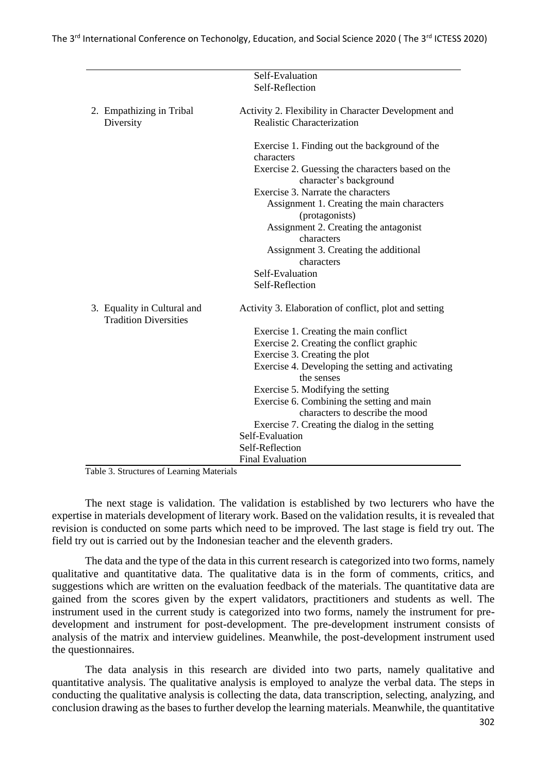|                                                             | Self-Evaluation                                       |
|-------------------------------------------------------------|-------------------------------------------------------|
|                                                             | Self-Reflection                                       |
|                                                             |                                                       |
| 2. Empathizing in Tribal                                    | Activity 2. Flexibility in Character Development and  |
| Diversity                                                   | <b>Realistic Characterization</b>                     |
|                                                             |                                                       |
|                                                             | Exercise 1. Finding out the background of the         |
|                                                             | characters                                            |
|                                                             | Exercise 2. Guessing the characters based on the      |
|                                                             | character's background                                |
|                                                             | Exercise 3. Narrate the characters                    |
|                                                             | Assignment 1. Creating the main characters            |
|                                                             | (protagonists)                                        |
|                                                             | Assignment 2. Creating the antagonist                 |
|                                                             | characters                                            |
|                                                             | Assignment 3. Creating the additional                 |
|                                                             | characters                                            |
|                                                             | Self-Evaluation                                       |
|                                                             | Self-Reflection                                       |
|                                                             |                                                       |
| 3. Equality in Cultural and<br><b>Tradition Diversities</b> | Activity 3. Elaboration of conflict, plot and setting |
|                                                             | Exercise 1. Creating the main conflict                |
|                                                             | Exercise 2. Creating the conflict graphic             |
|                                                             | Exercise 3. Creating the plot                         |
|                                                             | Exercise 4. Developing the setting and activating     |
|                                                             | the senses                                            |
|                                                             | Exercise 5. Modifying the setting                     |
|                                                             | Exercise 6. Combining the setting and main            |
|                                                             | characters to describe the mood                       |
|                                                             | Exercise 7. Creating the dialog in the setting        |
|                                                             | Self-Evaluation                                       |
|                                                             | Self-Reflection                                       |
|                                                             | <b>Final Evaluation</b>                               |

Table 3. Structures of Learning Materials

The next stage is validation. The validation is established by two lecturers who have the expertise in materials development of literary work. Based on the validation results, it is revealed that revision is conducted on some parts which need to be improved. The last stage is field try out. The field try out is carried out by the Indonesian teacher and the eleventh graders.

The data and the type of the data in this current research is categorized into two forms, namely qualitative and quantitative data. The qualitative data is in the form of comments, critics, and suggestions which are written on the evaluation feedback of the materials. The quantitative data are gained from the scores given by the expert validators, practitioners and students as well. The instrument used in the current study is categorized into two forms, namely the instrument for predevelopment and instrument for post-development. The pre-development instrument consists of analysis of the matrix and interview guidelines. Meanwhile, the post-development instrument used the questionnaires.

The data analysis in this research are divided into two parts, namely qualitative and quantitative analysis. The qualitative analysis is employed to analyze the verbal data. The steps in conducting the qualitative analysis is collecting the data, data transcription, selecting, analyzing, and conclusion drawing as the bases to further develop the learning materials. Meanwhile, the quantitative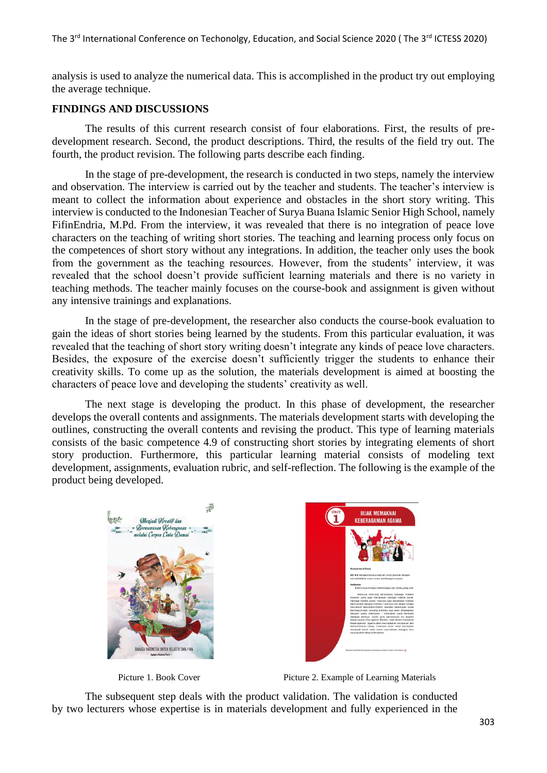analysis is used to analyze the numerical data. This is accomplished in the product try out employing the average technique.

#### **FINDINGS AND DISCUSSIONS**

The results of this current research consist of four elaborations. First, the results of predevelopment research. Second, the product descriptions. Third, the results of the field try out. The fourth, the product revision. The following parts describe each finding.

In the stage of pre-development, the research is conducted in two steps, namely the interview and observation. The interview is carried out by the teacher and students. The teacher's interview is meant to collect the information about experience and obstacles in the short story writing. This interview is conducted to the Indonesian Teacher of Surya Buana Islamic Senior High School, namely FifinEndria, M.Pd. From the interview, it was revealed that there is no integration of peace love characters on the teaching of writing short stories. The teaching and learning process only focus on the competences of short story without any integrations. In addition, the teacher only uses the book from the government as the teaching resources. However, from the students' interview, it was revealed that the school doesn't provide sufficient learning materials and there is no variety in teaching methods. The teacher mainly focuses on the course-book and assignment is given without any intensive trainings and explanations.

In the stage of pre-development, the researcher also conducts the course-book evaluation to gain the ideas of short stories being learned by the students. From this particular evaluation, it was revealed that the teaching of short story writing doesn't integrate any kinds of peace love characters. Besides, the exposure of the exercise doesn't sufficiently trigger the students to enhance their creativity skills. To come up as the solution, the materials development is aimed at boosting the characters of peace love and developing the students' creativity as well.

The next stage is developing the product. In this phase of development, the researcher develops the overall contents and assignments. The materials development starts with developing the outlines, constructing the overall contents and revising the product. This type of learning materials consists of the basic competence 4.9 of constructing short stories by integrating elements of short story production. Furthermore, this particular learning material consists of modeling text development, assignments, evaluation rubric, and self-reflection. The following is the example of the product being developed.





Picture 1. Book Cover Picture 2. Example of Learning Materials

The subsequent step deals with the product validation. The validation is conducted by two lecturers whose expertise is in materials development and fully experienced in the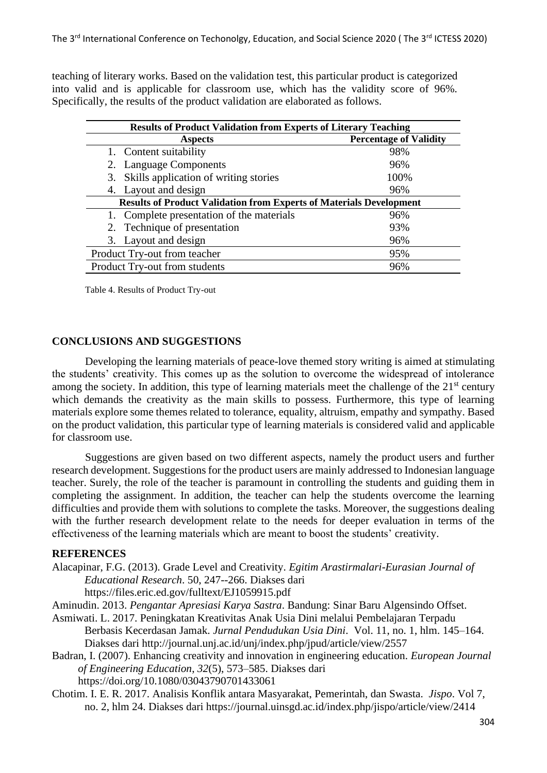teaching of literary works. Based on the validation test, this particular product is categorized into valid and is applicable for classroom use, which has the validity score of 96%. Specifically, the results of the product validation are elaborated as follows.

| <b>Results of Product Validation from Experts of Literary Teaching</b>     |                               |  |  |
|----------------------------------------------------------------------------|-------------------------------|--|--|
| <b>Aspects</b>                                                             | <b>Percentage of Validity</b> |  |  |
| 1. Content suitability                                                     | 98%                           |  |  |
| 2. Language Components                                                     | 96%                           |  |  |
| 3. Skills application of writing stories                                   | 100%                          |  |  |
| 4. Layout and design                                                       | 96%                           |  |  |
| <b>Results of Product Validation from Experts of Materials Development</b> |                               |  |  |
| 1. Complete presentation of the materials                                  | 96%                           |  |  |
| 2. Technique of presentation                                               | 93%                           |  |  |
| 3. Layout and design                                                       | 96%                           |  |  |
| Product Try-out from teacher                                               | 95%                           |  |  |
| Product Try-out from students                                              | 96%                           |  |  |

Table 4. Results of Product Try-out

#### **CONCLUSIONS AND SUGGESTIONS**

Developing the learning materials of peace-love themed story writing is aimed at stimulating the students' creativity. This comes up as the solution to overcome the widespread of intolerance among the society. In addition, this type of learning materials meet the challenge of the  $21<sup>st</sup>$  century which demands the creativity as the main skills to possess. Furthermore, this type of learning materials explore some themes related to tolerance, equality, altruism, empathy and sympathy. Based on the product validation, this particular type of learning materials is considered valid and applicable for classroom use.

Suggestions are given based on two different aspects, namely the product users and further research development. Suggestions for the product users are mainly addressed to Indonesian language teacher. Surely, the role of the teacher is paramount in controlling the students and guiding them in completing the assignment. In addition, the teacher can help the students overcome the learning difficulties and provide them with solutions to complete the tasks. Moreover, the suggestions dealing with the further research development relate to the needs for deeper evaluation in terms of the effectiveness of the learning materials which are meant to boost the students' creativity.

#### **REFERENCES**

Alacapinar, F.G. (2013). Grade Level and Creativity. *Egitim Arastirmalari-Eurasian Journal of Educational Research*. 50, 247--266. Diakses dari

https://files.eric.ed.gov/fulltext/EJ1059915.pdf

Aminudin. 2013. *Pengantar Apresiasi Karya Sastra*. Bandung: Sinar Baru Algensindo Offset.

Asmiwati. L. 2017. Peningkatan Kreativitas Anak Usia Dini melalui Pembelajaran Terpadu Berbasis Kecerdasan Jamak. *Jurnal Pendudukan Usia Dini*. Vol. 11, no. 1, hlm. 145–164. Diakses dari http://journal.unj.ac.id/unj/index.php/jpud/article/view/2557

Badran, I. (2007). Enhancing creativity and innovation in engineering education. *European Journal of Engineering Education*, *32*(5), 573–585. Diakses dari https://doi.org/10.1080/03043790701433061

Chotim. I. E. R. 2017. Analisis Konflik antara Masyarakat, Pemerintah, dan Swasta. *Jispo*. Vol 7, no. 2, hlm 24. Diakses dari https://journal.uinsgd.ac.id/index.php/jispo/article/view/2414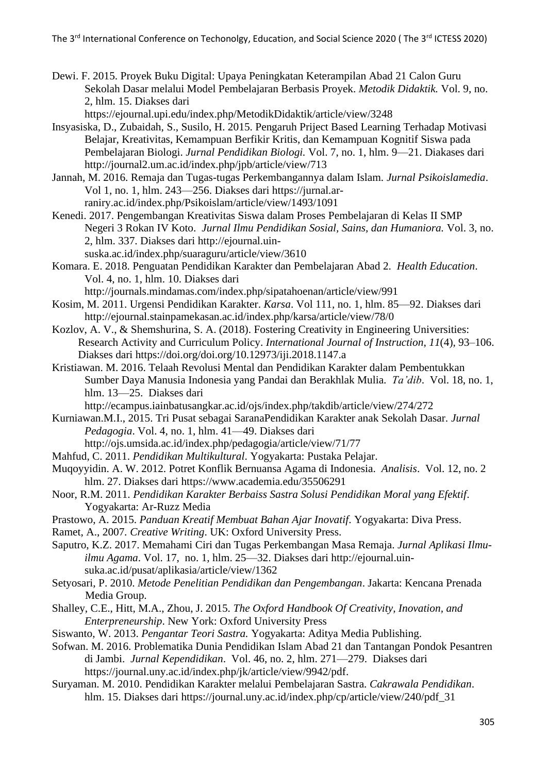Dewi. F. 2015. Proyek Buku Digital: Upaya Peningkatan Keterampilan Abad 21 Calon Guru Sekolah Dasar melalui Model Pembelajaran Berbasis Proyek. *Metodik Didaktik.* Vol. 9, no. 2, hlm. 15. Diakses dari

https://ejournal.upi.edu/index.php/MetodikDidaktik/article/view/3248

- Insyasiska, D., Zubaidah, S., Susilo, H. 2015. Pengaruh Priject Based Learning Terhadap Motivasi Belajar, Kreativitas, Kemampuan Berfikir Kritis, dan Kemampuan Kognitif Siswa pada Pembelajaran Biologi. *Jurnal Pendidikan Biologi.* Vol. 7, no. 1, hlm. 9—21. Diakases dari http://journal2.um.ac.id/index.php/jpb/article/view/713
- Jannah, M. 2016. Remaja dan Tugas-tugas Perkembangannya dalam Islam. *Jurnal Psikoislamedia*. Vol 1, no. 1, hlm. 243—256. Diakses dari https://jurnal.arraniry.ac.id/index.php/Psikoislam/article/view/1493/1091
- Kenedi. 2017. Pengembangan Kreativitas Siswa dalam Proses Pembelajaran di Kelas II SMP Negeri 3 Rokan IV Koto. *Jurnal Ilmu Pendidikan Sosial, Sains, dan Humaniora.* Vol. 3, no. 2, hlm. 337. Diakses dari http://ejournal.uin
	- suska.ac.id/index.php/suaraguru/article/view/3610
- Komara. E. 2018. Penguatan Pendidikan Karakter dan Pembelajaran Abad 2. *Health Education*. Vol. 4, no. 1, hlm. 10. Diakses dari http://journals.mindamas.com/index.php/sipatahoenan/article/view/991
- Kosim, M. 2011. Urgensi Pendidikan Karakter. *Karsa*. Vol 111, no. 1, hlm. 85—92. Diakses dari http://ejournal.stainpamekasan.ac.id/index.php/karsa/article/view/78/0
- Kozlov, A. V., & Shemshurina, S. A. (2018). Fostering Creativity in Engineering Universities: Research Activity and Curriculum Policy. *International Journal of Instruction*, *11*(4), 93–106. Diakses dari https://doi.org/doi.org/10.12973/iji.2018.1147.a
- Kristiawan. M. 2016. Telaah Revolusi Mental dan Pendidikan Karakter dalam Pembentukkan Sumber Daya Manusia Indonesia yang Pandai dan Berakhlak Mulia. *Ta'dib*. Vol. 18, no. 1, hlm. 13—25. Diakses dari
	- http://ecampus.iainbatusangkar.ac.id/ojs/index.php/takdib/article/view/274/272
- Kurniawan.M.I., 2015. Tri Pusat sebagai SaranaPendidikan Karakter anak Sekolah Dasar. *Jurnal Pedagogia*. Vol. 4, no. 1, hlm. 41—49. Diakses dari http://ojs.umsida.ac.id/index.php/pedagogia/article/view/71/77
- Mahfud, C. 2011. *Pendidikan Multikultural*. Yogyakarta: Pustaka Pelajar.
- Muqoyyidin. A. W. 2012. Potret Konflik Bernuansa Agama di Indonesia. *Analisis*. Vol. 12, no. 2 hlm. 27. Diakses dari https://www.academia.edu/35506291
- Noor, R.M. 2011. *Pendidikan Karakter Berbaiss Sastra Solusi Pendidikan Moral yang Efektif*. Yogyakarta: Ar-Ruzz Media
- Prastowo, A. 2015. *Panduan Kreatif Membuat Bahan Ajar Inovatif*. Yogyakarta: Diva Press.
- Ramet, A., 2007*. Creative Writing*. UK: Oxford University Press.
- Saputro, K.Z. 2017. Memahami Ciri dan Tugas Perkembangan Masa Remaja. *Jurnal Aplikasi Ilmuilmu Agama*. Vol. 17, no. 1, hlm. 25—32. Diakses dari http://ejournal.uinsuka.ac.id/pusat/aplikasia/article/view/1362
- Setyosari, P. 2010. *Metode Penelitian Pendidikan dan Pengembangan*. Jakarta: Kencana Prenada Media Group.
- Shalley, C.E., Hitt, M.A., Zhou, J. 2015. *The Oxford Handbook Of Creativity, Inovation, and Enterpreneurship*. New York: Oxford University Press
- Siswanto, W. 2013. *Pengantar Teori Sastra.* Yogyakarta: Aditya Media Publishing.
- Sofwan. M. 2016. Problematika Dunia Pendidikan Islam Abad 21 dan Tantangan Pondok Pesantren di Jambi. *Jurnal Kependidikan*. Vol. 46, no. 2, hlm. 271—279. Diakses dari https://journal.uny.ac.id/index.php/jk/article/view/9942/pdf.
- Suryaman. M. 2010. Pendidikan Karakter melalui Pembelajaran Sastra. *Cakrawala Pendidikan*. hlm. 15. Diakses dari https://journal.uny.ac.id/index.php/cp/article/view/240/pdf\_31